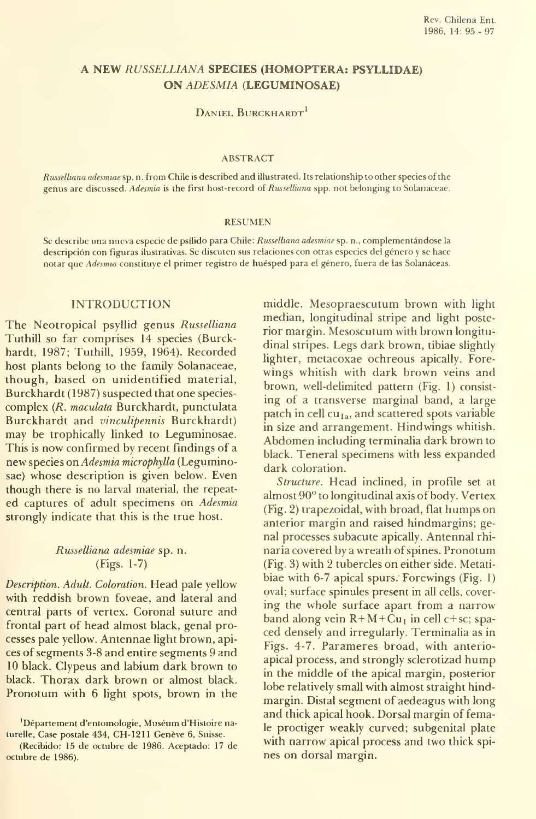# A NEW RUSSELLIANA SPECIES (HOMOPTERA: PSYLLIDAE) ON ADESMIA (LEGUMINOSAE)

## DANIEL BURCKHARDT<sup>1</sup>

#### ABSTRACT

Russelliana adesmiae sp. n. from Chile is described and illustrated. Its relationship to other species of the genus are discussed. Adesmia is the first host-record of Russelliana spp. not belonging to Solanaceae.

#### **RESUMEN**

Se describe una nueva especie de psílido para Chile: Russelhana adesmiae sp. n., complementándose la descripción con figuras ilustrativas. Se discuten sus relaciones con otras especies del género <sup>y</sup> se hace notar que Adesmia constituye el primer registro de huésped para el género, fuera de las Solanáceas.

## INTRODUCTION

The Neotropical psyllid genus Russelliana Tuthill so far comprises 14 species (Burckhardt, 1987; Tuthill, 1959, 1964). Recorded host plants belong to the family Solanaceae, though, based on unidentified material, Burckhardt (1987) suspected that one species complex (R. maculata Burckhardt, punctulata Burckhardt and vinculipennis Burckhardt) may be trophically linked to Leguminosae. This is now confirmed by recent findings of a new species on Adesmia microphylla (Leguminosae) whose description is given below. Even though there is no larval material, the repeat ed captures of adult specimens on Adesmia strongly indicate that this is the true host.

## Russelliana adesmiae sp. n. (Figs. 1-7)

Description. Adult. Coloration. Head palé yellow with reddish brown foveae, and lateral and central parts of vertex. Coronal suture and frontal part of head almost black, genal processes pale yellow. Antennae light brown, apices of segments 3-8 and entire segments 9 and 10 black. Clypeus and labium dark brown to black. Thorax dark brown or almost black. Pronotum with 6 light spots, brown in the

'Département d'entomologie, Muséum d'Histoire naturelle, Case póstale 434, CH-1211 Genéve 6, Suisse.

middle. Mesopraescutum brown with light median, longitudinal stripe and light posterior margin. Mesoscutum with brown longitu dinal stripes. Legs dark brown, tibiae slightly lighter, metacoxae ochreous apically. Fore wings whitish with dark brown veins and brown, weil-delimited pattern (Fig. 1) consist ing of a transverse marginal band, a large patch in cell  $cu_{1a}$ , and scattered spots variable in size and arrangement. Hindwings whitish. Abdomen including terminalia dark brown to black. Teneral specimens with less expanded dark coloration.

Structure. Head inclined, in profile set at almost 90° to longitudinal axis of body. Vértex (Fig. 2) trapezoidal, with broad, flat humps on anterior margin and raised hindmargins; genal processes subacute apically. Antennal rhi naria covered by a wreath of spines. Pronotum (Fig. 3) with 2 tubercles on either side. Metati biae with 6-7 apical spurs. Forewings (Fig. 1) oval; surface spinules present in all cells, covering the whole surface apart from a narrow band along vein  $R+M+\dot{C}u_1$  in cell c+sc; spaced densely and irregularly. Terminalia as in Figs. 4-7. Parameres broad, with anterioapical process, and strongly sclerotizad hump in the middle of the apical margin, posterior lobe relatively small with almost straight hind margin. Distal segment of aedeagus with long and thick apical hook. Dorsal margin of female proctiger weakly curved; subgenital plate with narrow apical process and two thick spi nes on dorsal margin.

<sup>(</sup>Recibido: 15 de octubre de 1986. Aceptado: 17 de octubre de 1986).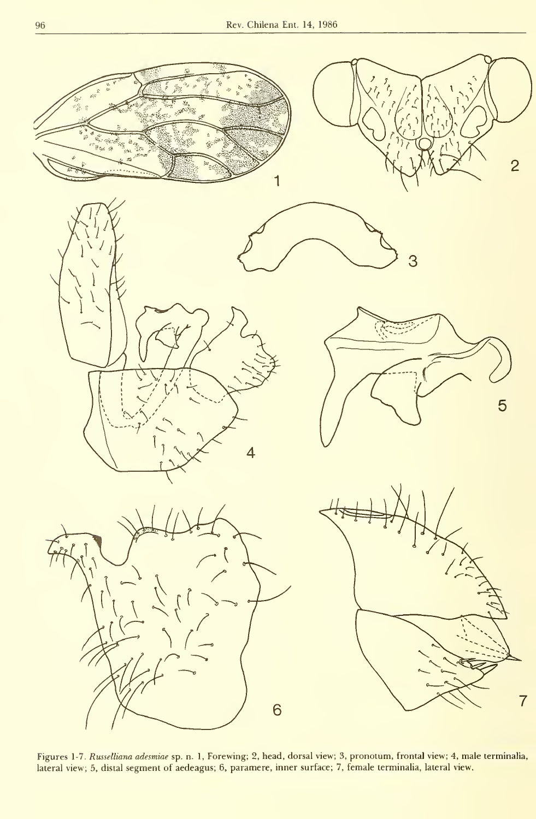

Figures 1-7*. Russelliana adesmiae* sp. n. 1, Forewing; 2, head, dorsal view; 3, pronotum, frontal view; 4, male terminalia,<br>lateral view; 5, distal segment of aedeagus; 6, paramere, inner surface; 7, female terminalia, la